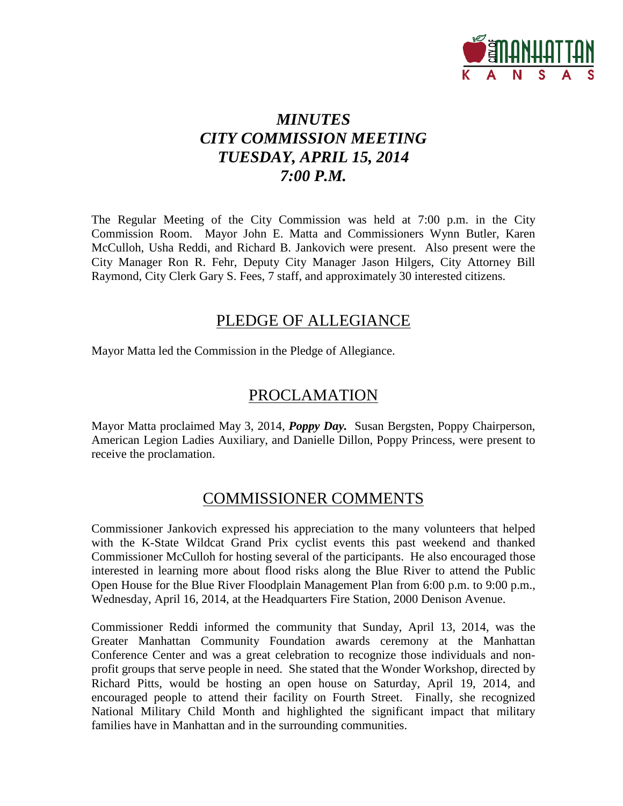

# *MINUTES CITY COMMISSION MEETING TUESDAY, APRIL 15, 2014 7:00 P.M.*

The Regular Meeting of the City Commission was held at 7:00 p.m. in the City Commission Room. Mayor John E. Matta and Commissioners Wynn Butler, Karen McCulloh, Usha Reddi, and Richard B. Jankovich were present. Also present were the City Manager Ron R. Fehr, Deputy City Manager Jason Hilgers, City Attorney Bill Raymond, City Clerk Gary S. Fees, 7 staff, and approximately 30 interested citizens.

## PLEDGE OF ALLEGIANCE

Mayor Matta led the Commission in the Pledge of Allegiance.

### PROCLAMATION

Mayor Matta proclaimed May 3, 2014, *Poppy Day.* Susan Bergsten, Poppy Chairperson, American Legion Ladies Auxiliary, and Danielle Dillon, Poppy Princess, were present to receive the proclamation.

### COMMISSIONER COMMENTS

Commissioner Jankovich expressed his appreciation to the many volunteers that helped with the K-State Wildcat Grand Prix cyclist events this past weekend and thanked Commissioner McCulloh for hosting several of the participants. He also encouraged those interested in learning more about flood risks along the Blue River to attend the Public Open House for the Blue River Floodplain Management Plan from 6:00 p.m. to 9:00 p.m., Wednesday, April 16, 2014, at the Headquarters Fire Station, 2000 Denison Avenue.

Commissioner Reddi informed the community that Sunday, April 13, 2014, was the Greater Manhattan Community Foundation awards ceremony at the Manhattan Conference Center and was a great celebration to recognize those individuals and nonprofit groups that serve people in need. She stated that the Wonder Workshop, directed by Richard Pitts, would be hosting an open house on Saturday, April 19, 2014, and encouraged people to attend their facility on Fourth Street. Finally, she recognized National Military Child Month and highlighted the significant impact that military families have in Manhattan and in the surrounding communities.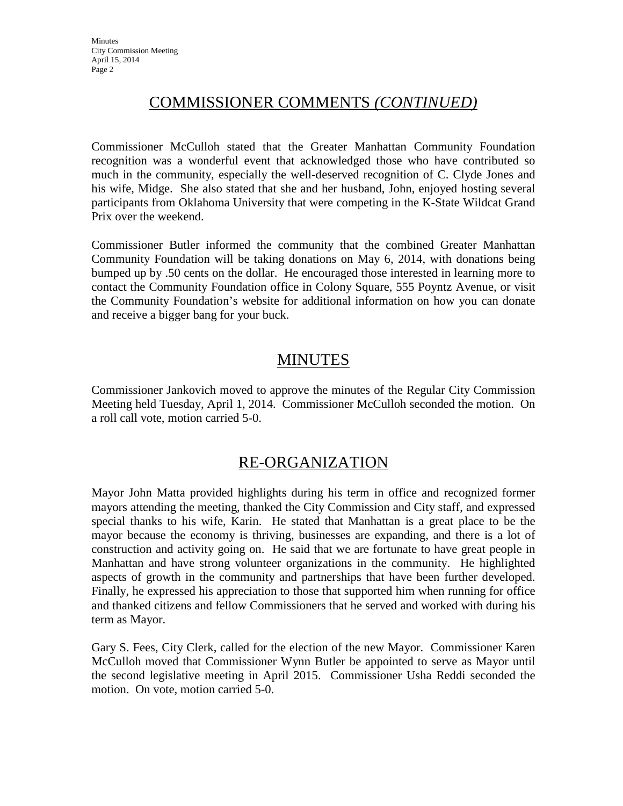## COMMISSIONER COMMENTS *(CONTINUED)*

Commissioner McCulloh stated that the Greater Manhattan Community Foundation recognition was a wonderful event that acknowledged those who have contributed so much in the community, especially the well-deserved recognition of C. Clyde Jones and his wife, Midge. She also stated that she and her husband, John, enjoyed hosting several participants from Oklahoma University that were competing in the K-State Wildcat Grand Prix over the weekend.

Commissioner Butler informed the community that the combined Greater Manhattan Community Foundation will be taking donations on May 6, 2014, with donations being bumped up by .50 cents on the dollar. He encouraged those interested in learning more to contact the Community Foundation office in Colony Square, 555 Poyntz Avenue, or visit the Community Foundation's website for additional information on how you can donate and receive a bigger bang for your buck.

# MINUTES

Commissioner Jankovich moved to approve the minutes of the Regular City Commission Meeting held Tuesday, April 1, 2014. Commissioner McCulloh seconded the motion. On a roll call vote, motion carried 5-0.

## RE-ORGANIZATION

Mayor John Matta provided highlights during his term in office and recognized former mayors attending the meeting, thanked the City Commission and City staff, and expressed special thanks to his wife, Karin. He stated that Manhattan is a great place to be the mayor because the economy is thriving, businesses are expanding, and there is a lot of construction and activity going on. He said that we are fortunate to have great people in Manhattan and have strong volunteer organizations in the community. He highlighted aspects of growth in the community and partnerships that have been further developed. Finally, he expressed his appreciation to those that supported him when running for office and thanked citizens and fellow Commissioners that he served and worked with during his term as Mayor.

Gary S. Fees, City Clerk, called for the election of the new Mayor. Commissioner Karen McCulloh moved that Commissioner Wynn Butler be appointed to serve as Mayor until the second legislative meeting in April 2015. Commissioner Usha Reddi seconded the motion. On vote, motion carried 5-0.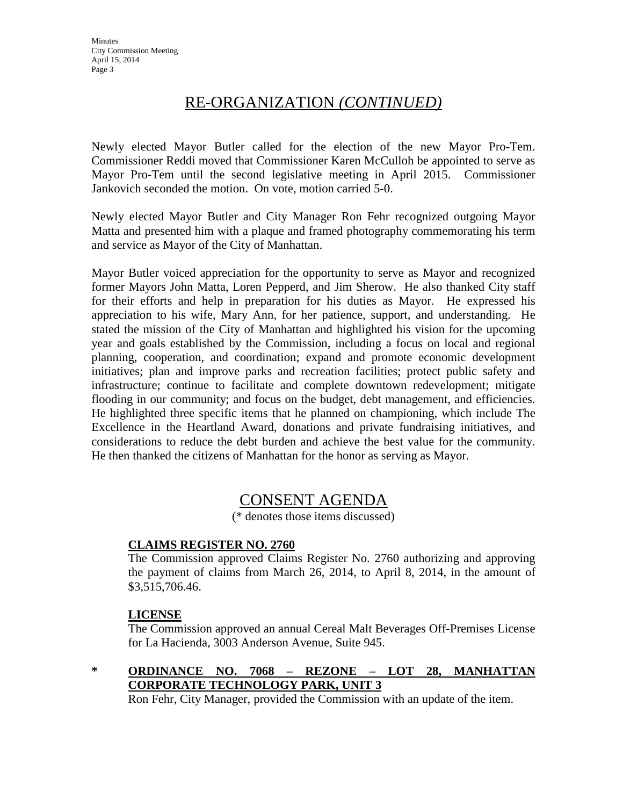## RE-ORGANIZATION *(CONTINUED)*

Newly elected Mayor Butler called for the election of the new Mayor Pro-Tem. Commissioner Reddi moved that Commissioner Karen McCulloh be appointed to serve as Mayor Pro-Tem until the second legislative meeting in April 2015. Commissioner Jankovich seconded the motion. On vote, motion carried 5-0.

Newly elected Mayor Butler and City Manager Ron Fehr recognized outgoing Mayor Matta and presented him with a plaque and framed photography commemorating his term and service as Mayor of the City of Manhattan.

Mayor Butler voiced appreciation for the opportunity to serve as Mayor and recognized former Mayors John Matta, Loren Pepperd, and Jim Sherow. He also thanked City staff for their efforts and help in preparation for his duties as Mayor. He expressed his appreciation to his wife, Mary Ann, for her patience, support, and understanding. He stated the mission of the City of Manhattan and highlighted his vision for the upcoming year and goals established by the Commission, including a focus on local and regional planning, cooperation, and coordination; expand and promote economic development initiatives; plan and improve parks and recreation facilities; protect public safety and infrastructure; continue to facilitate and complete downtown redevelopment; mitigate flooding in our community; and focus on the budget, debt management, and efficiencies. He highlighted three specific items that he planned on championing, which include The Excellence in the Heartland Award, donations and private fundraising initiatives, and considerations to reduce the debt burden and achieve the best value for the community. He then thanked the citizens of Manhattan for the honor as serving as Mayor.

### CONSENT AGENDA

(\* denotes those items discussed)

### **CLAIMS REGISTER NO. 2760**

The Commission approved Claims Register No. 2760 authorizing and approving the payment of claims from March 26, 2014, to April 8, 2014, in the amount of \$3,515,706.46.

### **LICENSE**

The Commission approved an annual Cereal Malt Beverages Off-Premises License for La Hacienda, 3003 Anderson Avenue, Suite 945.

**\* ORDINANCE NO. 7068 – REZONE – LOT 28, MANHATTAN CORPORATE TECHNOLOGY PARK, UNIT 3**

Ron Fehr, City Manager, provided the Commission with an update of the item.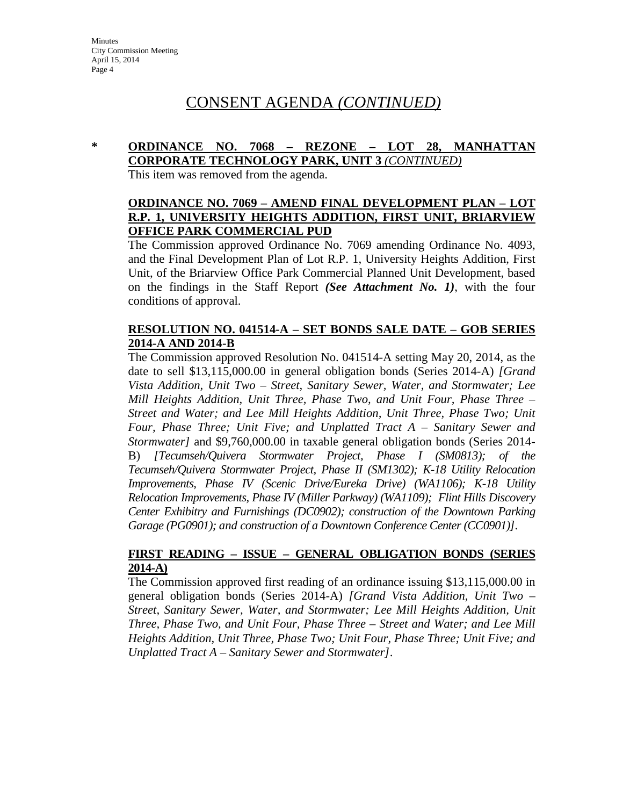# CONSENT AGENDA *(CONTINUED)*

### **\* ORDINANCE NO. 7068 – REZONE – LOT 28, MANHATTAN CORPORATE TECHNOLOGY PARK, UNIT 3** *(CONTINUED)*

This item was removed from the agenda.

### **ORDINANCE NO. 7069 – AMEND FINAL DEVELOPMENT PLAN – LOT R.P. 1, UNIVERSITY HEIGHTS ADDITION, FIRST UNIT, BRIARVIEW OFFICE PARK COMMERCIAL PUD**

The Commission approved Ordinance No. 7069 amending Ordinance No. 4093, and the Final Development Plan of Lot R.P. 1, University Heights Addition, First Unit, of the Briarview Office Park Commercial Planned Unit Development, based on the findings in the Staff Report *(See Attachment No. 1)*, with the four conditions of approval.

### **RESOLUTION NO. 041514-A – SET BONDS SALE DATE – GOB SERIES 2014-A AND 2014-B**

The Commission approved Resolution No. 041514-A setting May 20, 2014, as the date to sell \$13,115,000.00 in general obligation bonds (Series 2014-A) *[Grand Vista Addition, Unit Two – Street, Sanitary Sewer, Water, and Stormwater; Lee Mill Heights Addition, Unit Three, Phase Two, and Unit Four, Phase Three – Street and Water; and Lee Mill Heights Addition, Unit Three, Phase Two; Unit Four, Phase Three; Unit Five; and Unplatted Tract A – Sanitary Sewer and Stormwater]* and \$9,760,000.00 in taxable general obligation bonds (Series 2014- B) *[Tecumseh/Quivera Stormwater Project, Phase I (SM0813); of the Tecumseh/Quivera Stormwater Project, Phase II (SM1302); K-18 Utility Relocation Improvements, Phase IV (Scenic Drive/Eureka Drive) (WA1106); K-18 Utility Relocation Improvements, Phase IV (Miller Parkway) (WA1109); Flint Hills Discovery Center Exhibitry and Furnishings (DC0902); construction of the Downtown Parking Garage (PG0901); and construction of a Downtown Conference Center (CC0901)]*.

### **FIRST READING – ISSUE – GENERAL OBLIGATION BONDS (SERIES 2014-A)**

The Commission approved first reading of an ordinance issuing \$13,115,000.00 in general obligation bonds (Series 2014-A) *[Grand Vista Addition, Unit Two – Street, Sanitary Sewer, Water, and Stormwater; Lee Mill Heights Addition, Unit Three, Phase Two, and Unit Four, Phase Three – Street and Water; and Lee Mill Heights Addition, Unit Three, Phase Two; Unit Four, Phase Three; Unit Five; and Unplatted Tract A – Sanitary Sewer and Stormwater]*.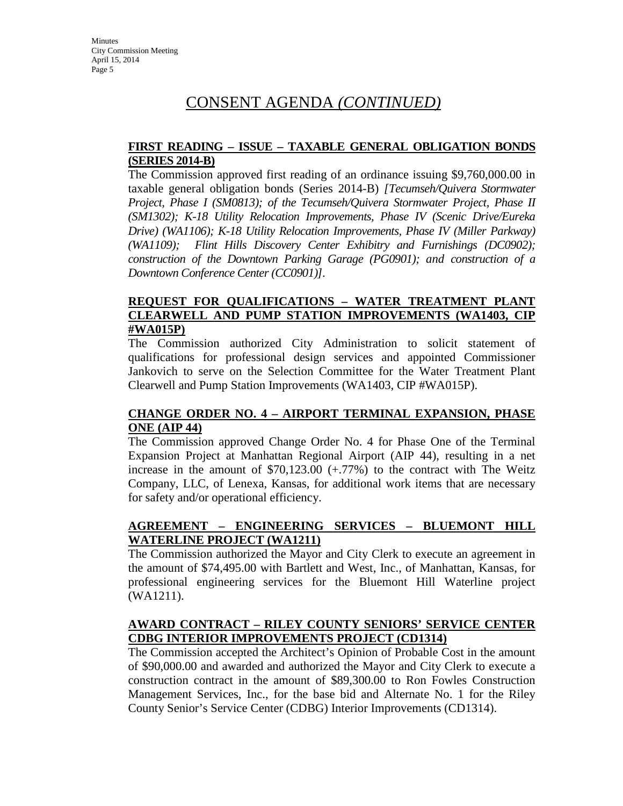# CONSENT AGENDA *(CONTINUED)*

### **FIRST READING – ISSUE – TAXABLE GENERAL OBLIGATION BONDS (SERIES 2014-B)**

The Commission approved first reading of an ordinance issuing \$9,760,000.00 in taxable general obligation bonds (Series 2014-B) *[Tecumseh/Quivera Stormwater Project, Phase I (SM0813); of the Tecumseh/Quivera Stormwater Project, Phase II (SM1302); K-18 Utility Relocation Improvements, Phase IV (Scenic Drive/Eureka Drive) (WA1106); K-18 Utility Relocation Improvements, Phase IV (Miller Parkway) (WA1109); Flint Hills Discovery Center Exhibitry and Furnishings (DC0902); construction of the Downtown Parking Garage (PG0901); and construction of a Downtown Conference Center (CC0901)]*.

### **REQUEST FOR QUALIFICATIONS – WATER TREATMENT PLANT CLEARWELL AND PUMP STATION IMPROVEMENTS (WA1403, CIP #WA015P)**

The Commission authorized City Administration to solicit statement of qualifications for professional design services and appointed Commissioner Jankovich to serve on the Selection Committee for the Water Treatment Plant Clearwell and Pump Station Improvements (WA1403, CIP #WA015P).

### **CHANGE ORDER NO. 4 – AIRPORT TERMINAL EXPANSION, PHASE ONE (AIP 44)**

The Commission approved Change Order No. 4 for Phase One of the Terminal Expansion Project at Manhattan Regional Airport (AIP 44), resulting in a net increase in the amount of \$70,123.00 (+.77%) to the contract with The Weitz Company, LLC, of Lenexa, Kansas, for additional work items that are necessary for safety and/or operational efficiency.

### **AGREEMENT – ENGINEERING SERVICES – BLUEMONT HILL WATERLINE PROJECT (WA1211)**

The Commission authorized the Mayor and City Clerk to execute an agreement in the amount of \$74,495.00 with Bartlett and West, Inc., of Manhattan, Kansas, for professional engineering services for the Bluemont Hill Waterline project (WA1211).

### **AWARD CONTRACT – RILEY COUNTY SENIORS' SERVICE CENTER CDBG INTERIOR IMPROVEMENTS PROJECT (CD1314)**

The Commission accepted the Architect's Opinion of Probable Cost in the amount of \$90,000.00 and awarded and authorized the Mayor and City Clerk to execute a construction contract in the amount of \$89,300.00 to Ron Fowles Construction Management Services, Inc., for the base bid and Alternate No. 1 for the Riley County Senior's Service Center (CDBG) Interior Improvements (CD1314).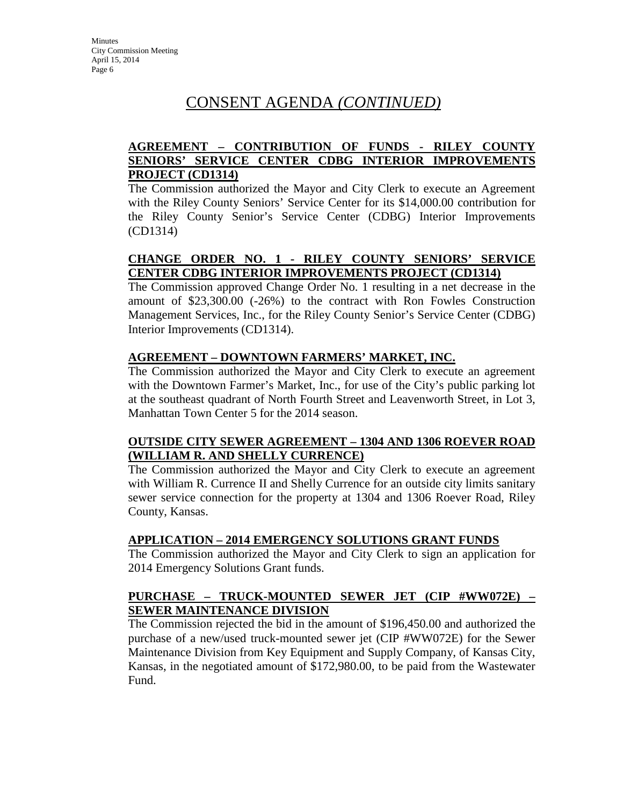# CONSENT AGENDA *(CONTINUED)*

### **AGREEMENT – CONTRIBUTION OF FUNDS - RILEY COUNTY SENIORS' SERVICE CENTER CDBG INTERIOR IMPROVEMENTS PROJECT (CD1314)**

The Commission authorized the Mayor and City Clerk to execute an Agreement with the Riley County Seniors' Service Center for its \$14,000.00 contribution for the Riley County Senior's Service Center (CDBG) Interior Improvements (CD1314)

### **CHANGE ORDER NO. 1 - RILEY COUNTY SENIORS' SERVICE CENTER CDBG INTERIOR IMPROVEMENTS PROJECT (CD1314)**

The Commission approved Change Order No. 1 resulting in a net decrease in the amount of \$23,300.00 (-26%) to the contract with Ron Fowles Construction Management Services, Inc., for the Riley County Senior's Service Center (CDBG) Interior Improvements (CD1314).

### **AGREEMENT – DOWNTOWN FARMERS' MARKET, INC.**

The Commission authorized the Mayor and City Clerk to execute an agreement with the Downtown Farmer's Market, Inc., for use of the City's public parking lot at the southeast quadrant of North Fourth Street and Leavenworth Street, in Lot 3, Manhattan Town Center 5 for the 2014 season.

### **OUTSIDE CITY SEWER AGREEMENT – 1304 AND 1306 ROEVER ROAD (WILLIAM R. AND SHELLY CURRENCE)**

The Commission authorized the Mayor and City Clerk to execute an agreement with William R. Currence II and Shelly Currence for an outside city limits sanitary sewer service connection for the property at 1304 and 1306 Roever Road, Riley County, Kansas.

### **APPLICATION – 2014 EMERGENCY SOLUTIONS GRANT FUNDS**

The Commission authorized the Mayor and City Clerk to sign an application for 2014 Emergency Solutions Grant funds.

### **PURCHASE – TRUCK-MOUNTED SEWER JET (CIP #WW072E) – SEWER MAINTENANCE DIVISION**

The Commission rejected the bid in the amount of \$196,450.00 and authorized the purchase of a new/used truck-mounted sewer jet (CIP #WW072E) for the Sewer Maintenance Division from Key Equipment and Supply Company, of Kansas City, Kansas, in the negotiated amount of \$172,980.00, to be paid from the Wastewater Fund.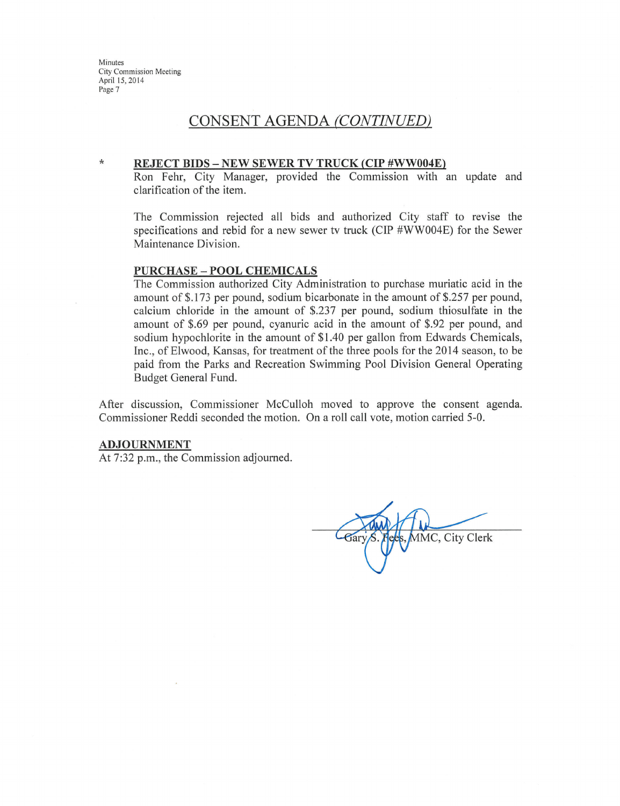$\star$ 

### CONSENT AGENDA (CONTINUED)

#### **REJECT BIDS - NEW SEWER TV TRUCK (CIP #WW004E)**

Ron Fehr, City Manager, provided the Commission with an update and clarification of the item.

The Commission rejected all bids and authorized City staff to revise the specifications and rebid for a new sewer tv truck (CIP #WW004E) for the Sewer Maintenance Division.

#### **PURCHASE - POOL CHEMICALS**

The Commission authorized City Administration to purchase muriatic acid in the amount of \$.173 per pound, sodium bicarbonate in the amount of \$.257 per pound, calcium chloride in the amount of \$.237 per pound, sodium thiosulfate in the amount of \$.69 per pound, cyanuric acid in the amount of \$.92 per pound, and sodium hypochlorite in the amount of \$1.40 per gallon from Edwards Chemicals, Inc., of Elwood, Kansas, for treatment of the three pools for the 2014 season, to be paid from the Parks and Recreation Swimming Pool Division General Operating Budget General Fund.

After discussion, Commissioner McCulloh moved to approve the consent agenda. Commissioner Reddi seconded the motion. On a roll call vote, motion carried 5-0.

#### **ADJOURNMENT**

At 7:32 p.m., the Commission adjourned.

MMC, City Clerk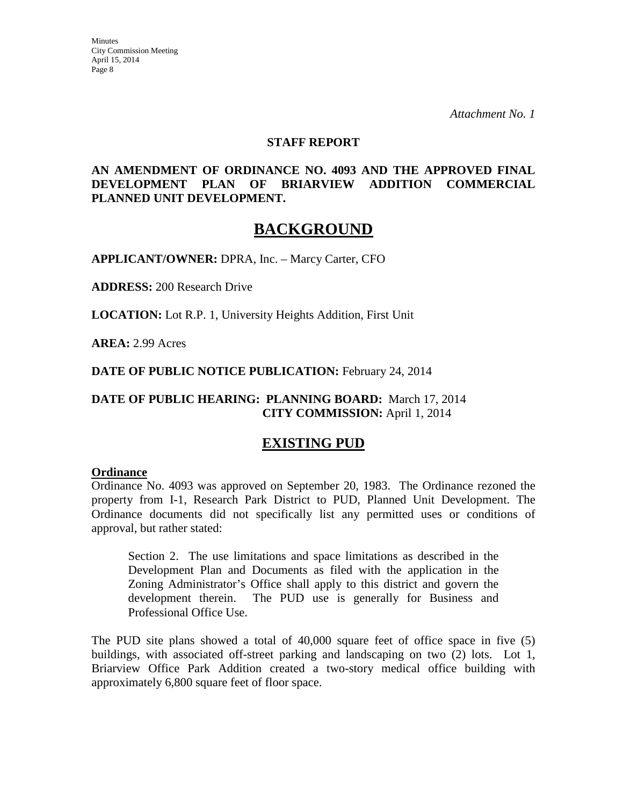*Attachment No. 1*

#### **STAFF REPORT**

### **AN AMENDMENT OF ORDINANCE NO. 4093 AND THE APPROVED FINAL DEVELOPMENT PLAN OF BRIARVIEW ADDITION COMMERCIAL PLANNED UNIT DEVELOPMENT.**

## **BACKGROUND**

**APPLICANT/OWNER:** DPRA, Inc. – Marcy Carter, CFO

**ADDRESS:** 200 Research Drive

**LOCATION:** Lot R.P. 1, University Heights Addition, First Unit

**AREA:** 2.99 Acres

**DATE OF PUBLIC NOTICE PUBLICATION:** February 24, 2014

### **DATE OF PUBLIC HEARING: PLANNING BOARD:** March 17, 2014 **CITY COMMISSION:** April 1, 2014

### **EXISTING PUD**

#### **Ordinance**

Ordinance No. 4093 was approved on September 20, 1983. The Ordinance rezoned the property from I-1, Research Park District to PUD, Planned Unit Development. The Ordinance documents did not specifically list any permitted uses or conditions of approval, but rather stated:

Section 2. The use limitations and space limitations as described in the Development Plan and Documents as filed with the application in the Zoning Administrator's Office shall apply to this district and govern the development therein. The PUD use is generally for Business and Professional Office Use.

The PUD site plans showed a total of 40,000 square feet of office space in five (5) buildings, with associated off-street parking and landscaping on two (2) lots. Lot 1, Briarview Office Park Addition created a two-story medical office building with approximately 6,800 square feet of floor space.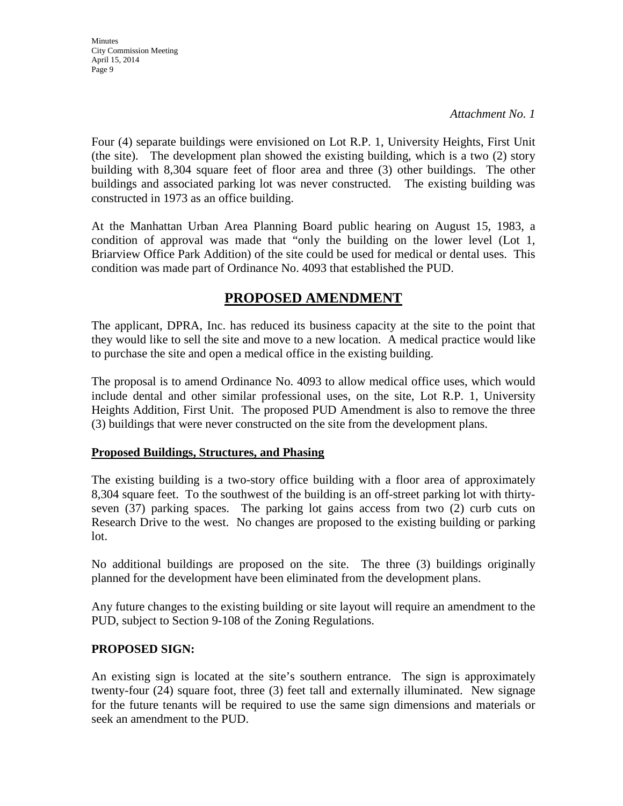*Attachment No. 1*

Four (4) separate buildings were envisioned on Lot R.P. 1, University Heights, First Unit (the site). The development plan showed the existing building, which is a two (2) story building with 8,304 square feet of floor area and three (3) other buildings. The other buildings and associated parking lot was never constructed. The existing building was constructed in 1973 as an office building.

At the Manhattan Urban Area Planning Board public hearing on August 15, 1983, a condition of approval was made that "only the building on the lower level (Lot 1, Briarview Office Park Addition) of the site could be used for medical or dental uses. This condition was made part of Ordinance No. 4093 that established the PUD.

### **PROPOSED AMENDMENT**

The applicant, DPRA, Inc. has reduced its business capacity at the site to the point that they would like to sell the site and move to a new location. A medical practice would like to purchase the site and open a medical office in the existing building.

The proposal is to amend Ordinance No. 4093 to allow medical office uses, which would include dental and other similar professional uses, on the site, Lot R.P. 1, University Heights Addition, First Unit. The proposed PUD Amendment is also to remove the three (3) buildings that were never constructed on the site from the development plans.

#### **Proposed Buildings, Structures, and Phasing**

The existing building is a two-story office building with a floor area of approximately 8,304 square feet. To the southwest of the building is an off-street parking lot with thirtyseven (37) parking spaces. The parking lot gains access from two (2) curb cuts on Research Drive to the west. No changes are proposed to the existing building or parking lot.

No additional buildings are proposed on the site. The three (3) buildings originally planned for the development have been eliminated from the development plans.

Any future changes to the existing building or site layout will require an amendment to the PUD, subject to Section 9-108 of the Zoning Regulations.

#### **PROPOSED SIGN:**

An existing sign is located at the site's southern entrance. The sign is approximately twenty-four (24) square foot, three (3) feet tall and externally illuminated. New signage for the future tenants will be required to use the same sign dimensions and materials or seek an amendment to the PUD.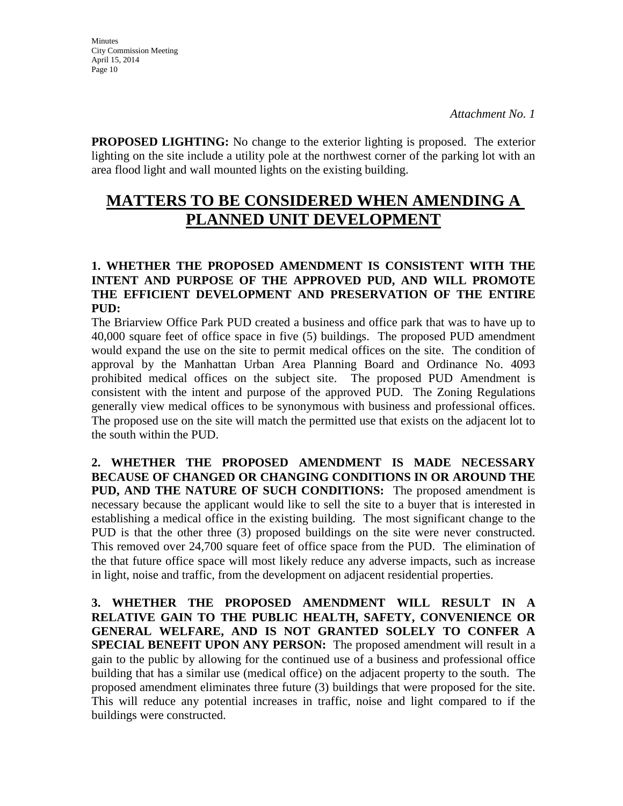**PROPOSED LIGHTING:** No change to the exterior lighting is proposed. The exterior lighting on the site include a utility pole at the northwest corner of the parking lot with an area flood light and wall mounted lights on the existing building.

# **MATTERS TO BE CONSIDERED WHEN AMENDING A PLANNED UNIT DEVELOPMENT**

### **1. WHETHER THE PROPOSED AMENDMENT IS CONSISTENT WITH THE INTENT AND PURPOSE OF THE APPROVED PUD, AND WILL PROMOTE THE EFFICIENT DEVELOPMENT AND PRESERVATION OF THE ENTIRE PUD:**

The Briarview Office Park PUD created a business and office park that was to have up to 40,000 square feet of office space in five (5) buildings. The proposed PUD amendment would expand the use on the site to permit medical offices on the site. The condition of approval by the Manhattan Urban Area Planning Board and Ordinance No. 4093 prohibited medical offices on the subject site. The proposed PUD Amendment is consistent with the intent and purpose of the approved PUD. The Zoning Regulations generally view medical offices to be synonymous with business and professional offices. The proposed use on the site will match the permitted use that exists on the adjacent lot to the south within the PUD.

**2. WHETHER THE PROPOSED AMENDMENT IS MADE NECESSARY BECAUSE OF CHANGED OR CHANGING CONDITIONS IN OR AROUND THE PUD, AND THE NATURE OF SUCH CONDITIONS:** The proposed amendment is necessary because the applicant would like to sell the site to a buyer that is interested in establishing a medical office in the existing building. The most significant change to the PUD is that the other three (3) proposed buildings on the site were never constructed. This removed over 24,700 square feet of office space from the PUD. The elimination of the that future office space will most likely reduce any adverse impacts, such as increase in light, noise and traffic, from the development on adjacent residential properties.

**3. WHETHER THE PROPOSED AMENDMENT WILL RESULT IN A RELATIVE GAIN TO THE PUBLIC HEALTH, SAFETY, CONVENIENCE OR GENERAL WELFARE, AND IS NOT GRANTED SOLELY TO CONFER A SPECIAL BENEFIT UPON ANY PERSON:** The proposed amendment will result in a gain to the public by allowing for the continued use of a business and professional office building that has a similar use (medical office) on the adjacent property to the south. The proposed amendment eliminates three future (3) buildings that were proposed for the site. This will reduce any potential increases in traffic, noise and light compared to if the buildings were constructed.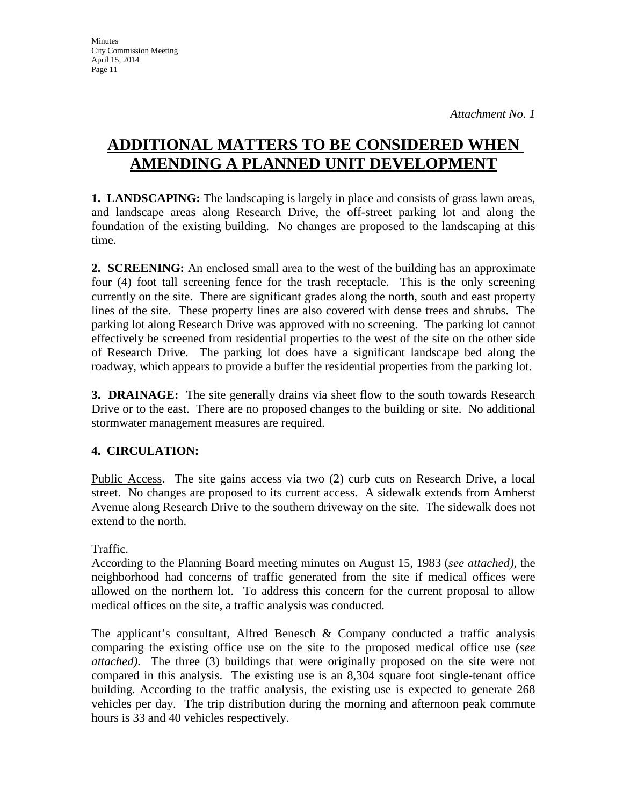# **ADDITIONAL MATTERS TO BE CONSIDERED WHEN AMENDING A PLANNED UNIT DEVELOPMENT**

**1. LANDSCAPING:** The landscaping is largely in place and consists of grass lawn areas, and landscape areas along Research Drive, the off-street parking lot and along the foundation of the existing building. No changes are proposed to the landscaping at this time.

**2. SCREENING:** An enclosed small area to the west of the building has an approximate four (4) foot tall screening fence for the trash receptacle. This is the only screening currently on the site. There are significant grades along the north, south and east property lines of the site. These property lines are also covered with dense trees and shrubs. The parking lot along Research Drive was approved with no screening. The parking lot cannot effectively be screened from residential properties to the west of the site on the other side of Research Drive. The parking lot does have a significant landscape bed along the roadway, which appears to provide a buffer the residential properties from the parking lot.

**3. DRAINAGE:** The site generally drains via sheet flow to the south towards Research Drive or to the east. There are no proposed changes to the building or site. No additional stormwater management measures are required.

### **4. CIRCULATION:**

Public Access. The site gains access via two (2) curb cuts on Research Drive, a local street. No changes are proposed to its current access. A sidewalk extends from Amherst Avenue along Research Drive to the southern driveway on the site. The sidewalk does not extend to the north.

### Traffic.

According to the Planning Board meeting minutes on August 15, 1983 (*see attached)*, the neighborhood had concerns of traffic generated from the site if medical offices were allowed on the northern lot. To address this concern for the current proposal to allow medical offices on the site, a traffic analysis was conducted.

The applicant's consultant, Alfred Benesch & Company conducted a traffic analysis comparing the existing office use on the site to the proposed medical office use (*see attached)*. The three (3) buildings that were originally proposed on the site were not compared in this analysis. The existing use is an 8,304 square foot single-tenant office building. According to the traffic analysis, the existing use is expected to generate 268 vehicles per day. The trip distribution during the morning and afternoon peak commute hours is 33 and 40 vehicles respectively.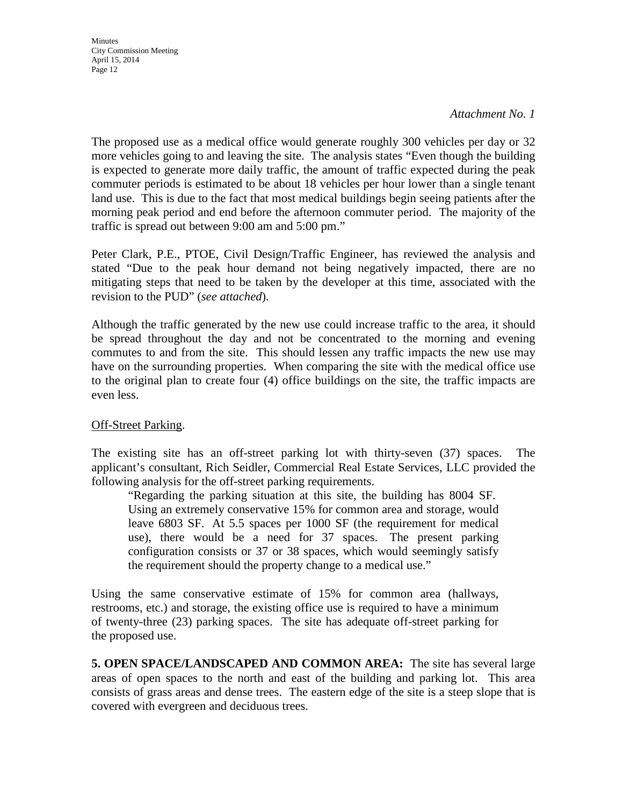*Attachment No. 1*

The proposed use as a medical office would generate roughly 300 vehicles per day or 32 more vehicles going to and leaving the site. The analysis states "Even though the building is expected to generate more daily traffic, the amount of traffic expected during the peak commuter periods is estimated to be about 18 vehicles per hour lower than a single tenant land use. This is due to the fact that most medical buildings begin seeing patients after the morning peak period and end before the afternoon commuter period. The majority of the traffic is spread out between 9:00 am and 5:00 pm."

Peter Clark, P.E., PTOE, Civil Design/Traffic Engineer, has reviewed the analysis and stated "Due to the peak hour demand not being negatively impacted, there are no mitigating steps that need to be taken by the developer at this time, associated with the revision to the PUD" (*see attached*).

Although the traffic generated by the new use could increase traffic to the area, it should be spread throughout the day and not be concentrated to the morning and evening commutes to and from the site. This should lessen any traffic impacts the new use may have on the surrounding properties. When comparing the site with the medical office use to the original plan to create four (4) office buildings on the site, the traffic impacts are even less.

### Off-Street Parking.

The existing site has an off-street parking lot with thirty-seven (37) spaces. The applicant's consultant, Rich Seidler, Commercial Real Estate Services, LLC provided the following analysis for the off-street parking requirements.

"Regarding the parking situation at this site, the building has 8004 SF. Using an extremely conservative 15% for common area and storage, would leave 6803 SF. At 5.5 spaces per 1000 SF (the requirement for medical use), there would be a need for 37 spaces. The present parking configuration consists or 37 or 38 spaces, which would seemingly satisfy the requirement should the property change to a medical use."

Using the same conservative estimate of 15% for common area (hallways, restrooms, etc.) and storage, the existing office use is required to have a minimum of twenty-three (23) parking spaces. The site has adequate off-street parking for the proposed use.

**5. OPEN SPACE/LANDSCAPED AND COMMON AREA:** The site has several large areas of open spaces to the north and east of the building and parking lot. This area consists of grass areas and dense trees. The eastern edge of the site is a steep slope that is covered with evergreen and deciduous trees.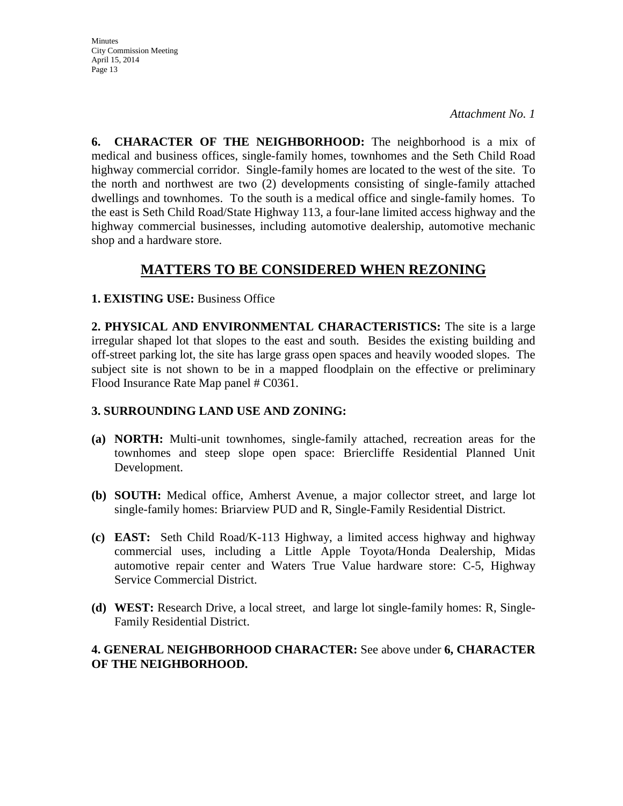*Attachment No. 1*

**6. CHARACTER OF THE NEIGHBORHOOD:** The neighborhood is a mix of medical and business offices, single-family homes, townhomes and the Seth Child Road highway commercial corridor. Single-family homes are located to the west of the site. To the north and northwest are two (2) developments consisting of single-family attached dwellings and townhomes. To the south is a medical office and single-family homes. To the east is Seth Child Road/State Highway 113, a four-lane limited access highway and the highway commercial businesses, including automotive dealership, automotive mechanic shop and a hardware store.

### **MATTERS TO BE CONSIDERED WHEN REZONING**

### **1. EXISTING USE:** Business Office

**2. PHYSICAL AND ENVIRONMENTAL CHARACTERISTICS:** The site is a large irregular shaped lot that slopes to the east and south. Besides the existing building and off-street parking lot, the site has large grass open spaces and heavily wooded slopes. The subject site is not shown to be in a mapped floodplain on the effective or preliminary Flood Insurance Rate Map panel # C0361.

### **3. SURROUNDING LAND USE AND ZONING:**

- **(a) NORTH:** Multi-unit townhomes, single-family attached, recreation areas for the townhomes and steep slope open space: Briercliffe Residential Planned Unit Development.
- **(b) SOUTH:** Medical office, Amherst Avenue, a major collector street, and large lot single-family homes: Briarview PUD and R, Single-Family Residential District.
- **(c) EAST:** Seth Child Road/K-113 Highway, a limited access highway and highway commercial uses, including a Little Apple Toyota/Honda Dealership, Midas automotive repair center and Waters True Value hardware store: C-5, Highway Service Commercial District.
- **(d) WEST:** Research Drive, a local street, and large lot single-family homes: R, Single-Family Residential District.

### **4. GENERAL NEIGHBORHOOD CHARACTER:** See above under **6, CHARACTER OF THE NEIGHBORHOOD.**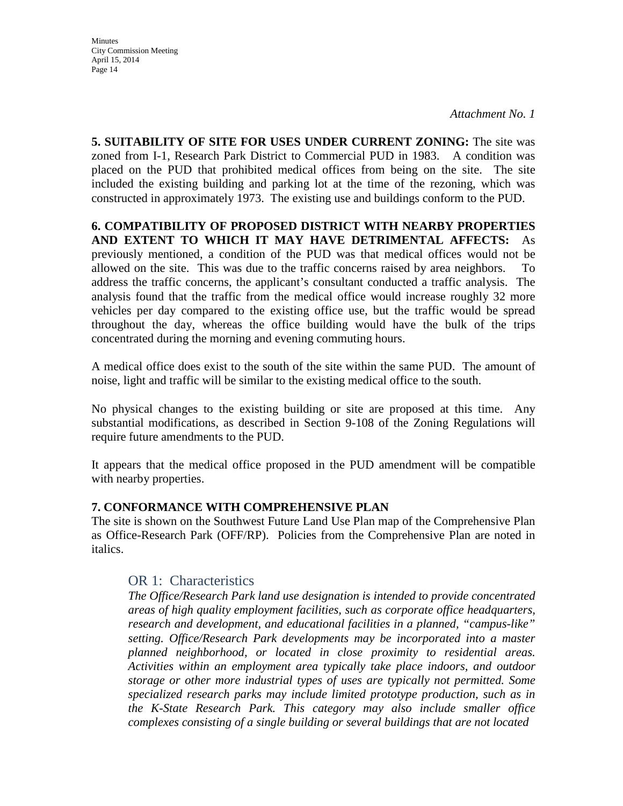*Attachment No. 1*

**5. SUITABILITY OF SITE FOR USES UNDER CURRENT ZONING:** The site was zoned from I-1, Research Park District to Commercial PUD in 1983. A condition was placed on the PUD that prohibited medical offices from being on the site. The site included the existing building and parking lot at the time of the rezoning, which was constructed in approximately 1973. The existing use and buildings conform to the PUD.

**6. COMPATIBILITY OF PROPOSED DISTRICT WITH NEARBY PROPERTIES AND EXTENT TO WHICH IT MAY HAVE DETRIMENTAL AFFECTS:** As previously mentioned, a condition of the PUD was that medical offices would not be allowed on the site. This was due to the traffic concerns raised by area neighbors. To address the traffic concerns, the applicant's consultant conducted a traffic analysis. The analysis found that the traffic from the medical office would increase roughly 32 more vehicles per day compared to the existing office use, but the traffic would be spread throughout the day, whereas the office building would have the bulk of the trips concentrated during the morning and evening commuting hours.

A medical office does exist to the south of the site within the same PUD. The amount of noise, light and traffic will be similar to the existing medical office to the south.

No physical changes to the existing building or site are proposed at this time. Any substantial modifications, as described in Section 9-108 of the Zoning Regulations will require future amendments to the PUD.

It appears that the medical office proposed in the PUD amendment will be compatible with nearby properties.

#### **7. CONFORMANCE WITH COMPREHENSIVE PLAN**

The site is shown on the Southwest Future Land Use Plan map of the Comprehensive Plan as Office-Research Park (OFF/RP). Policies from the Comprehensive Plan are noted in italics.

### OR 1: Characteristics

*The Office/Research Park land use designation is intended to provide concentrated areas of high quality employment facilities, such as corporate office headquarters, research and development, and educational facilities in a planned, "campus-like" setting. Office/Research Park developments may be incorporated into a master planned neighborhood, or located in close proximity to residential areas. Activities within an employment area typically take place indoors, and outdoor storage or other more industrial types of uses are typically not permitted. Some specialized research parks may include limited prototype production, such as in the K-State Research Park. This category may also include smaller office complexes consisting of a single building or several buildings that are not located*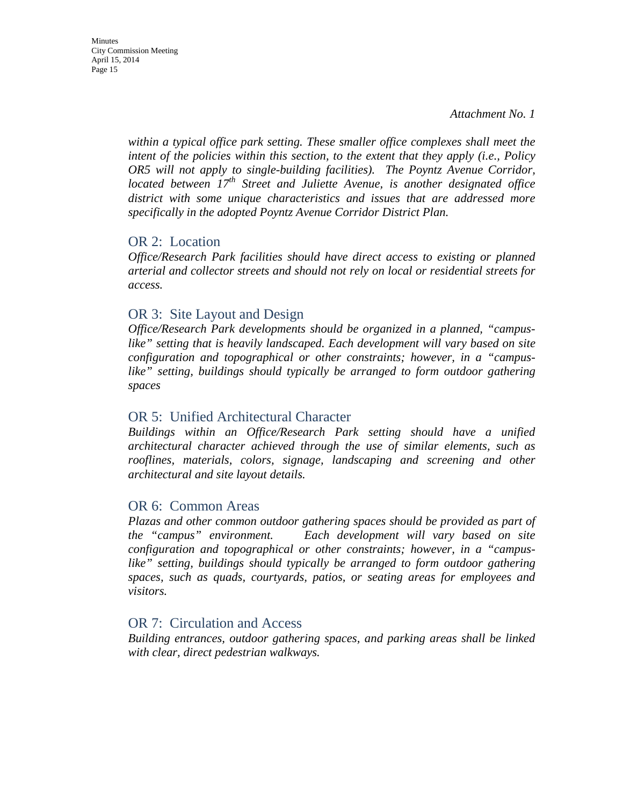*within a typical office park setting. These smaller office complexes shall meet the intent of the policies within this section, to the extent that they apply (i.e., Policy OR5 will not apply to single-building facilities). The Poyntz Avenue Corridor, located between 17th Street and Juliette Avenue, is another designated office district with some unique characteristics and issues that are addressed more specifically in the adopted Poyntz Avenue Corridor District Plan.*

### OR 2: Location

*Office/Research Park facilities should have direct access to existing or planned arterial and collector streets and should not rely on local or residential streets for access.*

### OR 3: Site Layout and Design

*Office/Research Park developments should be organized in a planned, "campus*like" setting that is heavily landscaped. Each development will vary based on site *configuration and topographical or other constraints; however, in a "campuslike" setting, buildings should typically be arranged to form outdoor gathering spaces*

### OR 5: Unified Architectural Character

*Buildings within an Office/Research Park setting should have a unified architectural character achieved through the use of similar elements, such as rooflines, materials, colors, signage, landscaping and screening and other architectural and site layout details.* 

#### OR 6: Common Areas

*Plazas and other common outdoor gathering spaces should be provided as part of the "campus" environment. Each development will vary based on site configuration and topographical or other constraints; however, in a "campuslike" setting, buildings should typically be arranged to form outdoor gathering spaces, such as quads, courtyards, patios, or seating areas for employees and visitors.* 

### OR 7: Circulation and Access

*Building entrances, outdoor gathering spaces, and parking areas shall be linked with clear, direct pedestrian walkways.*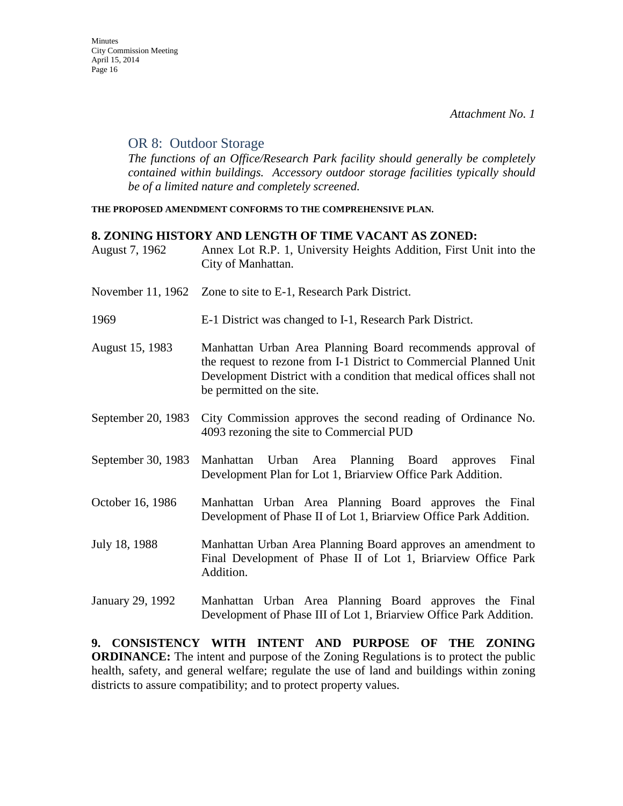### OR 8: Outdoor Storage

*The functions of an Office/Research Park facility should generally be completely contained within buildings. Accessory outdoor storage facilities typically should be of a limited nature and completely screened.*

**THE PROPOSED AMENDMENT CONFORMS TO THE COMPREHENSIVE PLAN.**

#### **8. ZONING HISTORY AND LENGTH OF TIME VACANT AS ZONED:**

| August 7, 1962     | Annex Lot R.P. 1, University Heights Addition, First Unit into the<br>City of Manhattan.                                                                                                                                              |
|--------------------|---------------------------------------------------------------------------------------------------------------------------------------------------------------------------------------------------------------------------------------|
| November 11, 1962  | Zone to site to E-1, Research Park District.                                                                                                                                                                                          |
| 1969               | E-1 District was changed to I-1, Research Park District.                                                                                                                                                                              |
| August 15, 1983    | Manhattan Urban Area Planning Board recommends approval of<br>the request to rezone from I-1 District to Commercial Planned Unit<br>Development District with a condition that medical offices shall not<br>be permitted on the site. |
| September 20, 1983 | City Commission approves the second reading of Ordinance No.<br>4093 rezoning the site to Commercial PUD                                                                                                                              |
| September 30, 1983 | Urban Area Planning Board approves<br>Final<br>Manhattan<br>Development Plan for Lot 1, Briarview Office Park Addition.                                                                                                               |
| October 16, 1986   | Manhattan Urban Area Planning Board approves the Final<br>Development of Phase II of Lot 1, Briarview Office Park Addition.                                                                                                           |
| July 18, 1988      | Manhattan Urban Area Planning Board approves an amendment to<br>Final Development of Phase II of Lot 1, Briarview Office Park<br>Addition.                                                                                            |
| January 29, 1992   | Manhattan Urban Area Planning Board approves the Final<br>Development of Phase III of Lot 1, Briarview Office Park Addition.                                                                                                          |

**9. CONSISTENCY WITH INTENT AND PURPOSE OF THE ZONING ORDINANCE:** The intent and purpose of the Zoning Regulations is to protect the public health, safety, and general welfare; regulate the use of land and buildings within zoning districts to assure compatibility; and to protect property values.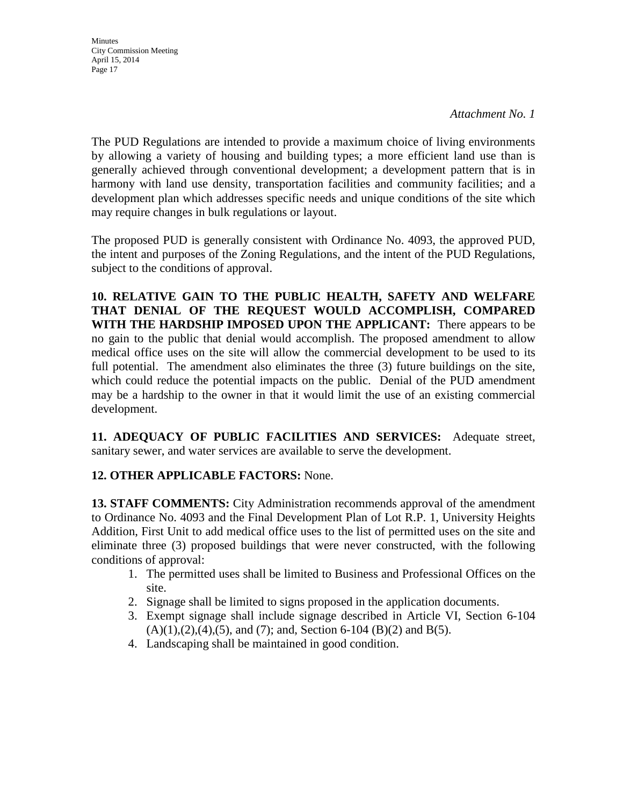**Minutes** City Commission Meeting April 15, 2014 Page 17

The PUD Regulations are intended to provide a maximum choice of living environments by allowing a variety of housing and building types; a more efficient land use than is generally achieved through conventional development; a development pattern that is in harmony with land use density, transportation facilities and community facilities; and a development plan which addresses specific needs and unique conditions of the site which may require changes in bulk regulations or layout.

The proposed PUD is generally consistent with Ordinance No. 4093, the approved PUD, the intent and purposes of the Zoning Regulations, and the intent of the PUD Regulations, subject to the conditions of approval.

**10. RELATIVE GAIN TO THE PUBLIC HEALTH, SAFETY AND WELFARE THAT DENIAL OF THE REQUEST WOULD ACCOMPLISH, COMPARED WITH THE HARDSHIP IMPOSED UPON THE APPLICANT:** There appears to be no gain to the public that denial would accomplish. The proposed amendment to allow medical office uses on the site will allow the commercial development to be used to its full potential. The amendment also eliminates the three (3) future buildings on the site, which could reduce the potential impacts on the public. Denial of the PUD amendment may be a hardship to the owner in that it would limit the use of an existing commercial development.

**11. ADEQUACY OF PUBLIC FACILITIES AND SERVICES:** Adequate street, sanitary sewer, and water services are available to serve the development.

### **12. OTHER APPLICABLE FACTORS:** None.

**13. STAFF COMMENTS:** City Administration recommends approval of the amendment to Ordinance No. 4093 and the Final Development Plan of Lot R.P. 1, University Heights Addition, First Unit to add medical office uses to the list of permitted uses on the site and eliminate three (3) proposed buildings that were never constructed, with the following conditions of approval:

- 1. The permitted uses shall be limited to Business and Professional Offices on the site.
- 2. Signage shall be limited to signs proposed in the application documents.
- 3. Exempt signage shall include signage described in Article VI, Section 6-104  $(A)(1),(2),(4),(5)$ , and  $(7)$ ; and, Section 6-104  $(B)(2)$  and  $B(5)$ .
- 4. Landscaping shall be maintained in good condition.